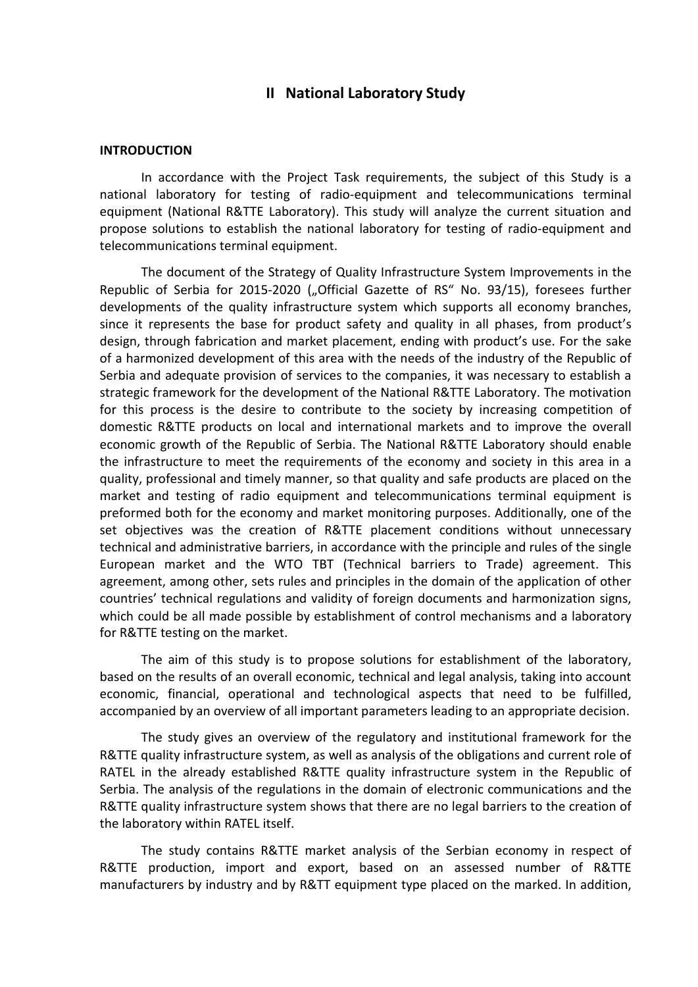## **II National Laboratory Study**

## **INTRODUCTION**

In accordance with the Project Task requirements, the subject of this Study is a national laboratory for testing of radio-equipment and telecommunications terminal equipment (National R&TTE Laboratory). This study will analyze the current situation and propose solutions to establish the national laboratory for testing of radio-equipment and telecommunications terminal equipment.

The document of the Strategy of Quality Infrastructure System Improvements in the Republic of Serbia for 2015-2020 ("Official Gazette of RS" No. 93/15), foresees further developments of the quality infrastructure system which supports all economy branches, since it represents the base for product safety and quality in all phases, from product's design, through fabrication and market placement, ending with product's use. For the sake of a harmonized development of this area with the needs of the industry of the Republic of Serbia and adequate provision of services to the companies, it was necessary to establish a strategic framework for the development of the National R&TTE Laboratory. The motivation for this process is the desire to contribute to the society by increasing competition of domestic R&TTE products on local and international markets and to improve the overall economic growth of the Republic of Serbia. The National R&TTE Laboratory should enable the infrastructure to meet the requirements of the economy and society in this area in a quality, professional and timely manner, so that quality and safe products are placed on the market and testing of radio equipment and telecommunications terminal equipment is preformed both for the economy and market monitoring purposes. Additionally, one of the set objectives was the creation of R&TTE placement conditions without unnecessary technical and administrative barriers, in accordance with the principle and rules of the single European market and the WTO TBT (Technical barriers to Trade) agreement. This agreement, among other, sets rules and principles in the domain of the application of other countries' technical regulations and validity of foreign documents and harmonization signs, which could be all made possible by establishment of control mechanisms and a laboratory for R&TTE testing on the market.

The aim of this study is to propose solutions for establishment of the laboratory, based on the results of an overall economic, technical and legal analysis, taking into account economic, financial, operational and technological aspects that need to be fulfilled, accompanied by an overview of all important parameters leading to an appropriate decision.

The study gives an overview of the regulatory and institutional framework for the R&TTE quality infrastructure system, as well as analysis of the obligations and current role of RATEL in the already established R&TTE quality infrastructure system in the Republic of Serbia. The analysis of the regulations in the domain of electronic communications and the R&TTE quality infrastructure system shows that there are no legal barriers to the creation of the laboratory within RATEL itself.

The study contains R&TTE market analysis of the Serbian economy in respect of R&TTE production, import and export, based on an assessed number of R&TTE manufacturers by industry and by R&TT equipment type placed on the marked. In addition,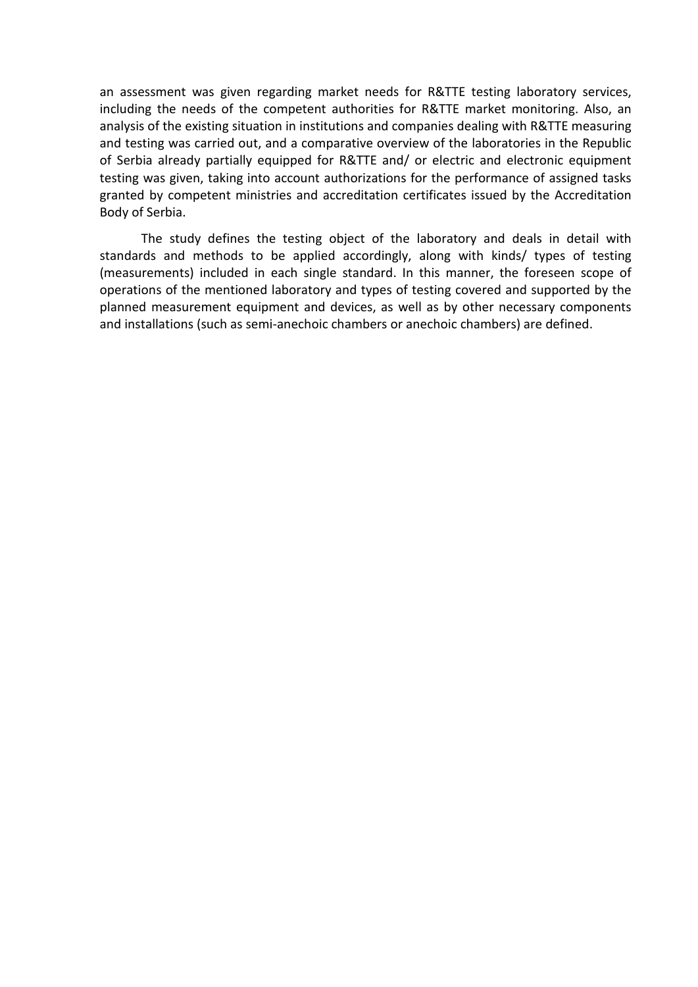an assessment was given regarding market needs for R&TTE testing laboratory services, including the needs of the competent authorities for R&TTE market monitoring. Also, an analysis of the existing situation in institutions and companies dealing with R&TTE measuring and testing was carried out, and a comparative overview of the laboratories in the Republic of Serbia already partially equipped for R&TTE and/ or electric and electronic equipment testing was given, taking into account authorizations for the performance of assigned tasks granted by competent ministries and accreditation certificates issued by the Accreditation Body of Serbia.

The study defines the testing object of the laboratory and deals in detail with standards and methods to be applied accordingly, along with kinds/ types of testing (measurements) included in each single standard. In this manner, the foreseen scope of operations of the mentioned laboratory and types of testing covered and supported by the planned measurement equipment and devices, as well as by other necessary components and installations (such as semi-anechoic chambers or anechoic chambers) are defined.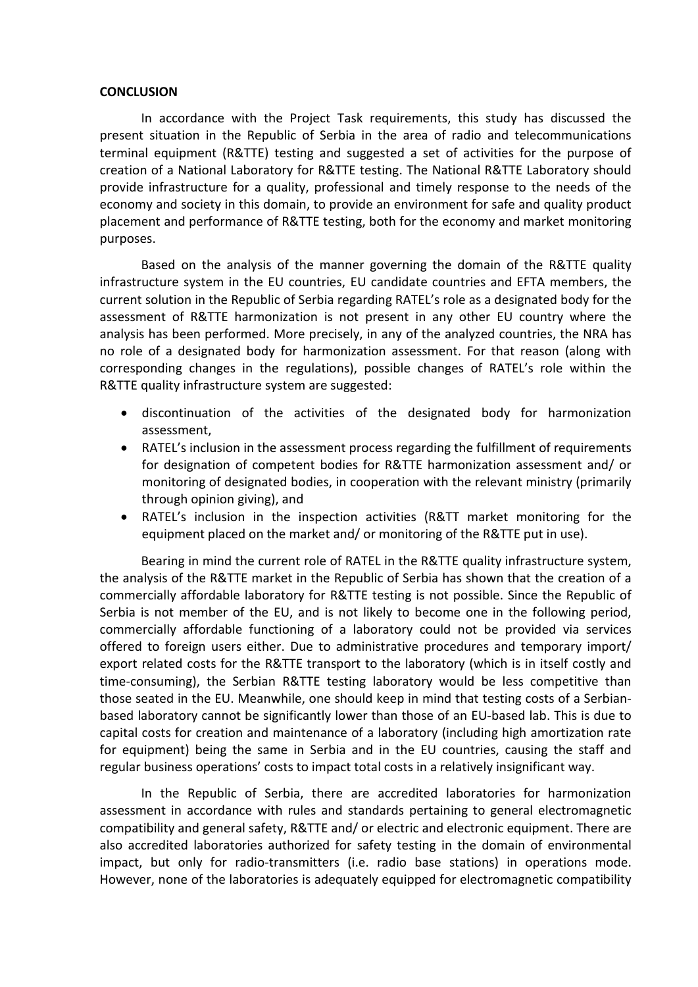## **CONCLUSION**

In accordance with the Project Task requirements, this study has discussed the present situation in the Republic of Serbia in the area of radio and telecommunications terminal equipment (R&TTE) testing and suggested a set of activities for the purpose of creation of a National Laboratory for R&TTE testing. The National R&TTE Laboratory should provide infrastructure for a quality, professional and timely response to the needs of the economy and society in this domain, to provide an environment for safe and quality product placement and performance of R&TTE testing, both for the economy and market monitoring purposes.

Based on the analysis of the manner governing the domain of the R&TTE quality infrastructure system in the EU countries, EU candidate countries and EFTA members, the current solution in the Republic of Serbia regarding RATEL's role as a designated body for the assessment of R&TTE harmonization is not present in any other EU country where the analysis has been performed. More precisely, in any of the analyzed countries, the NRA has no role of a designated body for harmonization assessment. For that reason (along with corresponding changes in the regulations), possible changes of RATEL's role within the R&TTE quality infrastructure system are suggested:

- discontinuation of the activities of the designated body for harmonization assessment,
- RATEL's inclusion in the assessment process regarding the fulfillment of requirements for designation of competent bodies for R&TTE harmonization assessment and/ or monitoring of designated bodies, in cooperation with the relevant ministry (primarily through opinion giving), and
- RATEL's inclusion in the inspection activities (R&TT market monitoring for the equipment placed on the market and/ or monitoring of the R&TTE put in use).

Bearing in mind the current role of RATEL in the R&TTE quality infrastructure system, the analysis of the R&TTE market in the Republic of Serbia has shown that the creation of a commercially affordable laboratory for R&TTE testing is not possible. Since the Republic of Serbia is not member of the EU, and is not likely to become one in the following period, commercially affordable functioning of a laboratory could not be provided via services offered to foreign users either. Due to administrative procedures and temporary import/ export related costs for the R&TTE transport to the laboratory (which is in itself costly and time-consuming), the Serbian R&TTE testing laboratory would be less competitive than those seated in the EU. Meanwhile, one should keep in mind that testing costs of a Serbianbased laboratory cannot be significantly lower than those of an EU-based lab. This is due to capital costs for creation and maintenance of a laboratory (including high amortization rate for equipment) being the same in Serbia and in the EU countries, causing the staff and regular business operations' costs to impact total costs in a relatively insignificant way.

In the Republic of Serbia, there are accredited laboratories for harmonization assessment in accordance with rules and standards pertaining to general electromagnetic compatibility and general safety, R&TTE and/ or electric and electronic equipment. There are also accredited laboratories authorized for safety testing in the domain of environmental impact, but only for radio-transmitters (i.e. radio base stations) in operations mode. However, none of the laboratories is adequately equipped for electromagnetic compatibility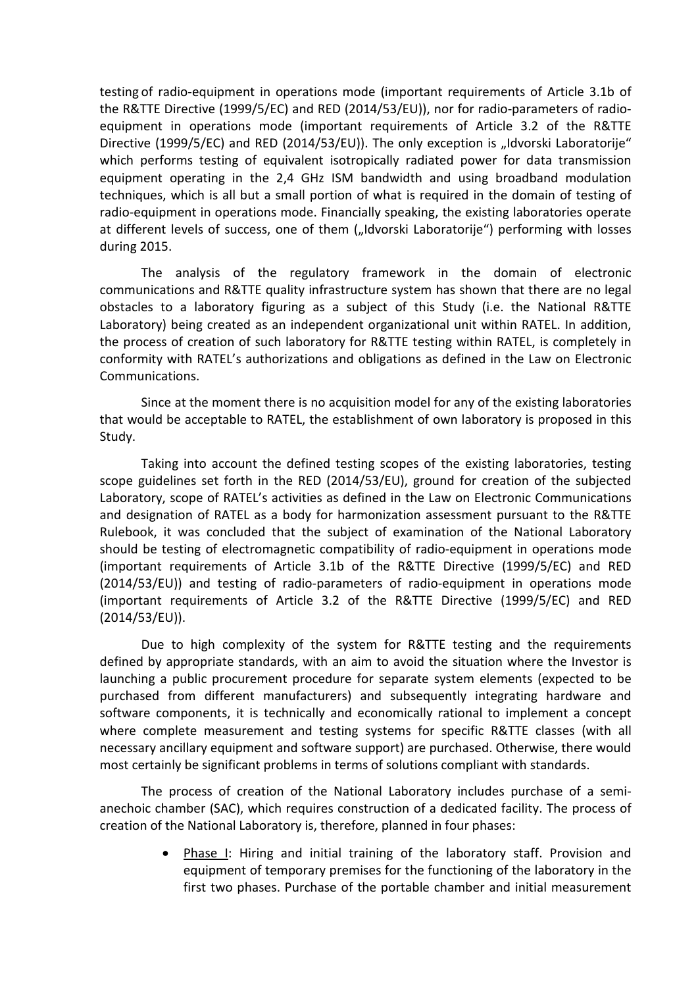testing of radio-equipment in operations mode (important requirements of Article 3.1b of the R&TTE Directive (1999/5/EC) and RED (2014/53/EU)), nor for radio-parameters of radioequipment in operations mode (important requirements of Article 3.2 of the R&TTE Directive (1999/5/EC) and RED (2014/53/EU)). The only exception is "Idvorski Laboratorije" which performs testing of equivalent isotropically radiated power for data transmission equipment operating in the 2,4 GHz ISM bandwidth and using broadband modulation techniques, which is all but a small portion of what is required in the domain of testing of radio-equipment in operations mode. Financially speaking, the existing laboratories operate at different levels of success, one of them ("Idvorski Laboratorije") performing with losses during 2015.

The analysis of the regulatory framework in the domain of electronic communications and R&TTE quality infrastructure system has shown that there are no legal obstacles to a laboratory figuring as a subject of this Study (i.e. the National R&TTE Laboratory) being created as an independent organizational unit within RATEL. In addition, the process of creation of such laboratory for R&TTE testing within RATEL, is completely in conformity with RATEL's authorizations and obligations as defined in the Law on Electronic Communications.

Since at the moment there is no acquisition model for any of the existing laboratories that would be acceptable to RATEL, the establishment of own laboratory is proposed in this Study.

Taking into account the defined testing scopes of the existing laboratories, testing scope guidelines set forth in the RED (2014/53/EU), ground for creation of the subjected Laboratory, scope of RATEL's activities as defined in the Law on Electronic Communications and designation of RATEL as a body for harmonization assessment pursuant to the R&TTE Rulebook, it was concluded that the subject of examination of the National Laboratory should be testing of electromagnetic compatibility of radio-equipment in operations mode (important requirements of Article 3.1b of the R&TTE Directive (1999/5/EC) and RED (2014/53/EU)) and testing of radio-parameters of radio-equipment in operations mode (important requirements of Article 3.2 of the R&TTE Directive (1999/5/EC) and RED (2014/53/EU)).

Due to high complexity of the system for R&TTE testing and the requirements defined by appropriate standards, with an aim to avoid the situation where the Investor is launching a public procurement procedure for separate system elements (expected to be purchased from different manufacturers) and subsequently integrating hardware and software components, it is technically and economically rational to implement a concept where complete measurement and testing systems for specific R&TTE classes (with all necessary ancillary equipment and software support) are purchased. Otherwise, there would most certainly be significant problems in terms of solutions compliant with standards.

The process of creation of the National Laboratory includes purchase of a semianechoic chamber (SAC), which requires construction of a dedicated facility. The process of creation of the National Laboratory is, therefore, planned in four phases:

> • Phase I: Hiring and initial training of the laboratory staff. Provision and equipment of temporary premises for the functioning of the laboratory in the first two phases. Purchase of the portable chamber and initial measurement